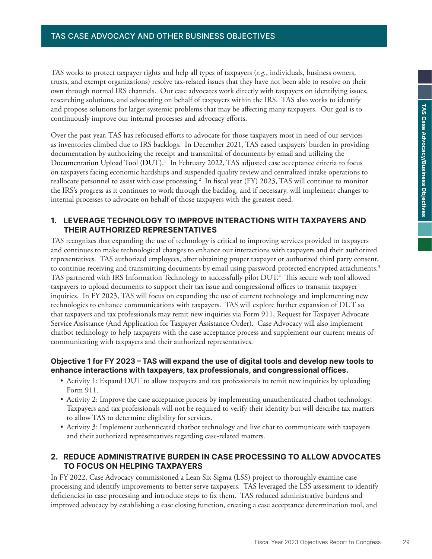## TAS CASE ADVOCACY AND OTHER BUSINESS OBJECTIVES **TAS Case Advocacy and Other Business Objectives**

TAS works to protect taxpayer rights and help all types of taxpayers (*e.g.*, individuals, business owners, trusts, and exempt organizations) resolve tax-related issues that they have not been able to resolve on their own through normal IRS channels. Our case advocates work directly with taxpayers on identifying issues, researching solutions, and advocating on behalf of taxpayers within the IRS. TAS also works to identify and propose solutions for larger systemic problems that may be affecting many taxpayers. Our goal is to continuously improve our internal processes and advocacy efforts.

Over the past year, TAS has refocused efforts to advocate for those taxpayers most in need of our services as inventories climbed due to IRS backlogs. In December 2021, TAS eased taxpayers' burden in providing documentation by authorizing the receipt and transmittal of documents by email and utilizing the Documentation Upload Tool (DUT).<sup>1</sup> In February 2022, TAS adjusted case acceptance criteria to focus on taxpayers facing economic hardships and suspended quality review and centralized intake operations to reallocate personnel to assist with case processing.<sup>2</sup> In fiscal year (FY) 2023, TAS will continue to monitor the IRS's progress as it continues to work through the backlog, and if necessary, will implement changes to internal processes to advocate on behalf of those taxpayers with the greatest need.

## **1. LEVERAGE TECHNOLOGY TO IMPROVE INTERACTIONS WITH TAXPAYERS AND THEIR AUTHORIZED REPRESENTATIVES**

TAS recognizes that expanding the use of technology is critical to improving services provided to taxpayers and continues to make technological changes to enhance our interactions with taxpayers and their authorized representatives. TAS authorized employees, after obtaining proper taxpayer or authorized third party consent, to continue receiving and transmitting documents by email using password-protected encrypted attachments.<sup>3</sup> TAS partnered with IRS Information Technology to successfully pilot DUT.<sup>4</sup> This secure web tool allowed taxpayers to upload documents to support their tax issue and congressional offices to transmit taxpayer inquiries. In FY 2023, TAS will focus on expanding the use of current technology and implementing new technologies to enhance communications with taxpayers. TAS will explore further expansion of DUT so that taxpayers and tax professionals may remit new inquiries via Form 911, Request for Taxpayer Advocate Service Assistance (And Application for Taxpayer Assistance Order). Case Advocacy will also implement chatbot technology to help taxpayers with the case acceptance process and supplement our current means of communicating with taxpayers and their authorized representatives.

#### **Objective 1 for FY 2023 – TAS will expand the use of digital tools and develop new tools to enhance interactions with taxpayers, tax professionals, and congressional offices.**

- Activity 1: Expand DUT to allow taxpayers and tax professionals to remit new inquiries by uploading Form 911.
- Activity 2: Improve the case acceptance process by implementing unauthenticated chatbot technology. Taxpayers and tax professionals will not be required to verify their identity but will describe tax matters to allow TAS to determine eligibility for services.
- Activity 3: Implement authenticated chatbot technology and live chat to communicate with taxpayers and their authorized representatives regarding case-related matters.

## **2. REDUCE ADMINISTRATIVE BURDEN IN CASE PROCESSING TO ALLOW ADVOCATES TO FOCUS ON HELPING TAXPAYERS**

In FY 2022, Case Advocacy commissioned a Lean Six Sigma (LSS) project to thoroughly examine case processing and identify improvements to better serve taxpayers. TAS leveraged the LSS assessment to identify deficiencies in case processing and introduce steps to fix them. TAS reduced administrative burdens and improved advocacy by establishing a case closing function, creating a case acceptance determination tool, and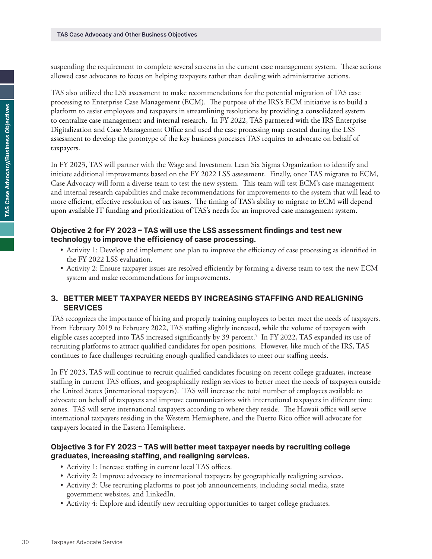suspending the requirement to complete several screens in the current case management system. These actions allowed case advocates to focus on helping taxpayers rather than dealing with administrative actions.

TAS also utilized the LSS assessment to make recommendations for the potential migration of TAS case processing to Enterprise Case Management (ECM). The purpose of the IRS's ECM initiative is to build a platform to assist employees and taxpayers in streamlining resolutions by providing a consolidated system to centralize case management and internal research. In FY 2022, TAS partnered with the IRS Enterprise Digitalization and Case Management Office and used the case processing map created during the LSS assessment to develop the prototype of the key business processes TAS requires to advocate on behalf of taxpayers.

In FY 2023, TAS will partner with the Wage and Investment Lean Six Sigma Organization to identify and initiate additional improvements based on the FY 2022 LSS assessment. Finally, once TAS migrates to ECM, Case Advocacy will form a diverse team to test the new system. This team will test ECM's case management and internal research capabilities and make recommendations for improvements to the system that will lead to more efficient, effective resolution of tax issues. The timing of TAS's ability to migrate to ECM will depend upon available IT funding and prioritization of TAS's needs for an improved case management system.

### **Objective 2 for FY 2023 – TAS will use the LSS assessment findings and test new technology to improve the efficiency of case processing.**

- Activity 1: Develop and implement one plan to improve the efficiency of case processing as identified in the FY 2022 LSS evaluation.
- Activity 2: Ensure taxpayer issues are resolved efficiently by forming a diverse team to test the new ECM system and make recommendations for improvements.

## **3. BETTER MEET TAXPAYER NEEDS BY INCREASING STAFFING AND REALIGNING SERVICES**

TAS recognizes the importance of hiring and properly training employees to better meet the needs of taxpayers. From February 2019 to February 2022, TAS staffing slightly increased, while the volume of taxpayers with eligible cases accepted into TAS increased significantly by 39 percent.<sup>5</sup> In FY 2022, TAS expanded its use of recruiting platforms to attract qualified candidates for open positions. However, like much of the IRS, TAS continues to face challenges recruiting enough qualified candidates to meet our staffing needs.

In FY 2023, TAS will continue to recruit qualified candidates focusing on recent college graduates, increase staffing in current TAS offices, and geographically realign services to better meet the needs of taxpayers outside the United States (international taxpayers). TAS will increase the total number of employees available to advocate on behalf of taxpayers and improve communications with international taxpayers in different time zones. TAS will serve international taxpayers according to where they reside. The Hawaii office will serve international taxpayers residing in the Western Hemisphere, and the Puerto Rico office will advocate for taxpayers located in the Eastern Hemisphere.

### **Objective 3 for FY 2023 – TAS will better meet taxpayer needs by recruiting college graduates, increasing staffing, and realigning services.**

- Activity 1: Increase staffing in current local TAS offices.
- Activity 2: Improve advocacy to international taxpayers by geographically realigning services.
- Activity 3: Use recruiting platforms to post job announcements, including social media, state government websites, and LinkedIn.
- Activity 4: Explore and identify new recruiting opportunities to target college graduates.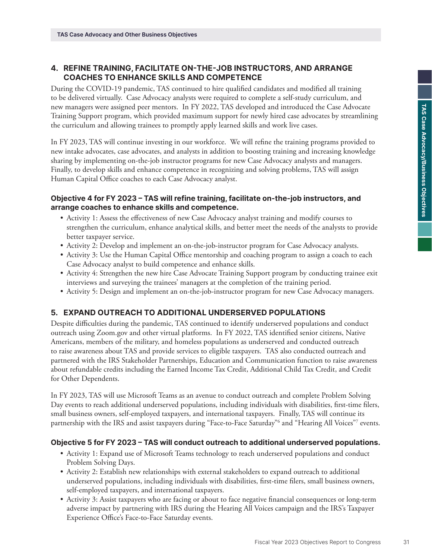# **4. REFINE TRAINING, FACILITATE ON-THE-JOB INSTRUCTORS, AND ARRANGE COACHES TO ENHANCE SKILLS AND COMPETENCE**

During the COVID-19 pandemic, TAS continued to hire qualified candidates and modified all training to be delivered virtually. Case Advocacy analysts were required to complete a self-study curriculum, and new managers were assigned peer mentors. In FY 2022, TAS developed and introduced the Case Advocate Training Support program, which provided maximum support for newly hired case advocates by streamlining the curriculum and allowing trainees to promptly apply learned skills and work live cases.

In FY 2023, TAS will continue investing in our workforce. We will refine the training programs provided to new intake advocates, case advocates, and analysts in addition to boosting training and increasing knowledge sharing by implementing on-the-job instructor programs for new Case Advocacy analysts and managers. Finally, to develop skills and enhance competence in recognizing and solving problems, TAS will assign Human Capital Office coaches to each Case Advocacy analyst.

### **Objective 4 for FY 2023 – TAS will refine training, facilitate on-the-job instructors, and arrange coaches to enhance skills and competence.**

- Activity 1: Assess the effectiveness of new Case Advocacy analyst training and modify courses to strengthen the curriculum, enhance analytical skills, and better meet the needs of the analysts to provide better taxpayer service.
- Activity 2: Develop and implement an on-the-job-instructor program for Case Advocacy analysts.
- Activity 3: Use the Human Capital Office mentorship and coaching program to assign a coach to each Case Advocacy analyst to build competence and enhance skills.
- Activity 4: Strengthen the new hire Case Advocate Training Support program by conducting trainee exit interviews and surveying the trainees' managers at the completion of the training period.
- Activity 5: Design and implement an on-the-job-instructor program for new Case Advocacy managers.

# **5. EXPAND OUTREACH TO ADDITIONAL UNDERSERVED POPULATIONS**

Despite difficulties during the pandemic, TAS continued to identify underserved populations and conduct outreach using Zoom.gov and other virtual platforms. In FY 2022, TAS identified senior citizens, Native Americans, members of the military, and homeless populations as underserved and conducted outreach to raise awareness about TAS and provide services to eligible taxpayers. TAS also conducted outreach and partnered with the IRS Stakeholder Partnerships, Education and Communication function to raise awareness about refundable credits including the Earned Income Tax Credit, Additional Child Tax Credit, and Credit for Other Dependents.

In FY 2023, TAS will use Microsoft Teams as an avenue to conduct outreach and complete Problem Solving Day events to reach additional underserved populations, including individuals with disabilities, first-time filers, small business owners, self-employed taxpayers, and international taxpayers. Finally, TAS will continue its partnership with the IRS and assist taxpayers during "Face-to-Face Saturday"6 and "Hearing All Voices"7 events.

#### **Objective 5 for FY 2023 – TAS will conduct outreach to additional underserved populations.**

- Activity 1: Expand use of Microsoft Teams technology to reach underserved populations and conduct Problem Solving Days.
- Activity 2: Establish new relationships with external stakeholders to expand outreach to additional underserved populations, including individuals with disabilities, first-time filers, small business owners, self-employed taxpayers, and international taxpayers.
- Activity 3: Assist taxpayers who are facing or about to face negative financial consequences or long-term adverse impact by partnering with IRS during the Hearing All Voices campaign and the IRS's Taxpayer Experience Office's Face-to-Face Saturday events.